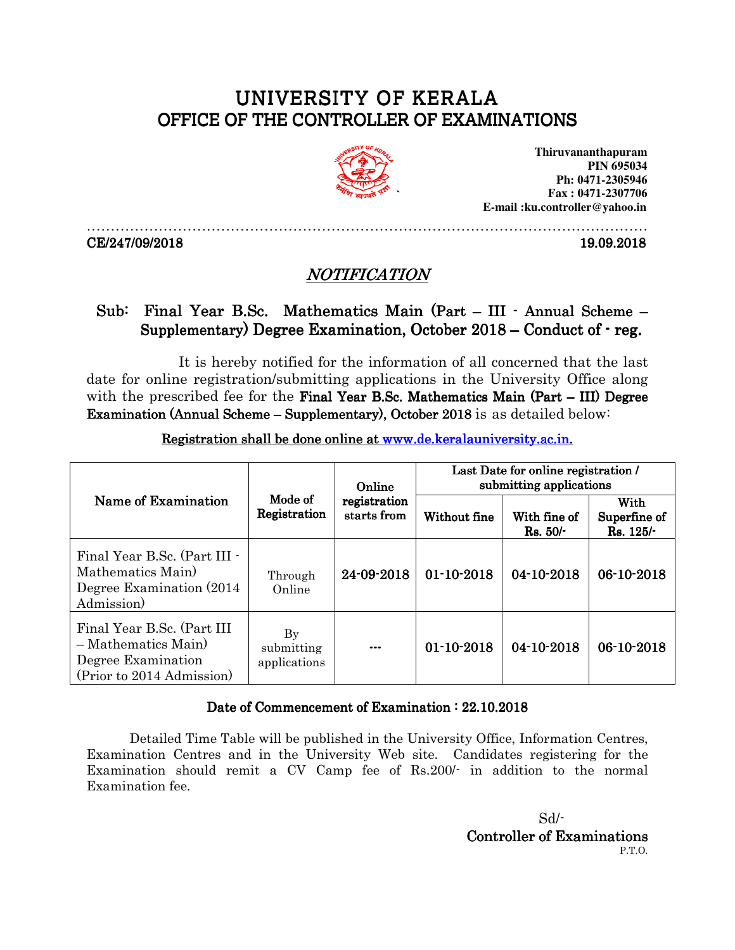## UNIVERSITY OF KERALA OFFICE OF THE CONTROLLER OF EXAMINATIONS



**Thiruvananthapuram PIN 695034 Ph: 0471-2305946 Fax : 0471-2307706 E-mail :ku.controller@yahoo.in** 

CE/247/09/2018 19.09.2018

## NOTIFICATION

………………………………………………………………………………………………………

## Sub: Final Year B.Sc. Mathematics Main (Part – III · Annual Scheme – Supplementary) Degree Examination, October  $2018$  – Conduct of  $-$  reg.

It is hereby notified for the information of all concerned that the last date for online registration/submitting applications in the University Office along with the prescribed fee for the Final Year B.Sc. Mathematics Main (Part  $-III$ ) Degree Examination (Annual Scheme – Supplementary), October 2018 is as detailed below:

| Name of Examination                                                                                   | Mode of<br>Registration          | Online<br>registration<br>starts from | Last Date for online registration /<br>submitting applications |                         |                                  |
|-------------------------------------------------------------------------------------------------------|----------------------------------|---------------------------------------|----------------------------------------------------------------|-------------------------|----------------------------------|
|                                                                                                       |                                  |                                       | Without fine                                                   | With fine of<br>Rs. 50/ | With<br>Superfine of<br>Rs. 125/ |
| Final Year B.Sc. (Part III -<br>Mathematics Main<br>Degree Examination (2014)<br>Admission)           | Through<br>Online                | 24-09-2018                            | $01 - 10 - 2018$                                               | 04-10-2018              | $06-10-2018$                     |
| Final Year B.Sc. (Part III<br>$-Mathematics Main)$<br>Degree Examination<br>(Prior to 2014 Admission) | By<br>submitting<br>applications | $\qquad \qquad \cdots$                | $01 - 10 - 2018$                                               | 04-10-2018              | 06-10-2018                       |

Registration shall be done online at www.de.keralauniversity.ac.in.

## Date of Commencement of Examination : 22.10.2018

Detailed Time Table will be published in the University Office, Information Centres, Examination Centres and in the University Web site. Candidates registering for the Examination should remit a CV Camp fee of Rs.200/- in addition to the normal Examination fee.